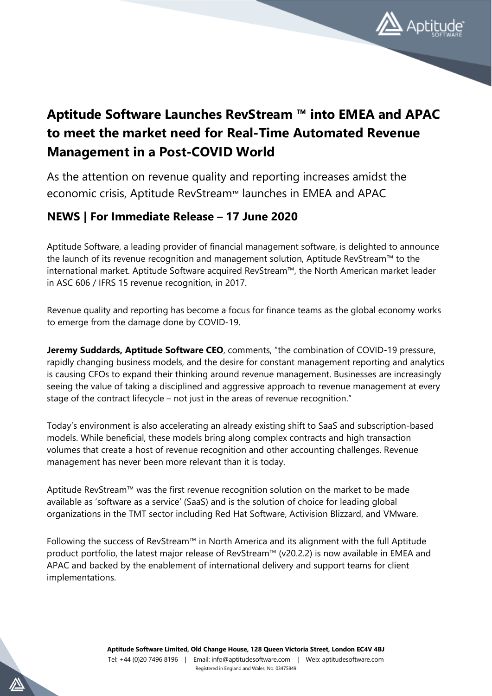

## **Aptitude Software Launches RevStream ™ into EMEA and APAC to meet the market need for Real-Time Automated Revenue Management in a Post-COVID World**

As the attention on revenue quality and reporting increases amidst the economic crisis, Aptitude RevStream™ launches in EMEA and APAC

## **NEWS | For Immediate Release – 17 June 2020**

Aptitude Software, a leading provider of financial management software, is delighted to announce the launch of its revenue recognition and management solution, Aptitude RevStream™ to the international market. Aptitude Software acquired RevStream™, the North American market leader in ASC 606 / IFRS 15 revenue recognition, in 2017.

Revenue quality and reporting has become a focus for finance teams as the global economy works to emerge from the damage done by COVID-19.

**Jeremy Suddards, Aptitude Software CEO**, comments, "the combination of COVID-19 pressure, rapidly changing business models, and the desire for constant management reporting and analytics is causing CFOs to expand their thinking around revenue management. Businesses are increasingly seeing the value of taking a disciplined and aggressive approach to revenue management at every stage of the contract lifecycle – not just in the areas of revenue recognition."

Today's environment is also accelerating an already existing shift to SaaS and subscription-based models. While beneficial, these models bring along complex contracts and high transaction volumes that create a host of revenue recognition and other accounting challenges. Revenue management has never been more relevant than it is today.

Aptitude RevStream™ was the first revenue recognition solution on the market to be made available as 'software as a service' (SaaS) and is the solution of choice for leading global organizations in the TMT sector including Red Hat Software, Activision Blizzard, and VMware.

Following the success of RevStream™ in North America and its alignment with the full Aptitude product portfolio, the latest major release of RevStream™ (v20.2.2) is now available in EMEA and APAC and backed by the enablement of international delivery and support teams for client implementations.